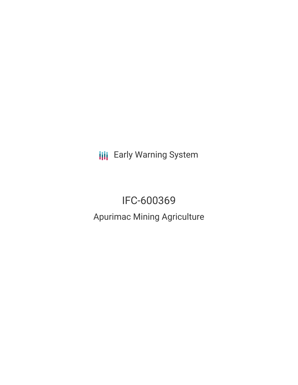**III** Early Warning System

# IFC-600369 Apurimac Mining Agriculture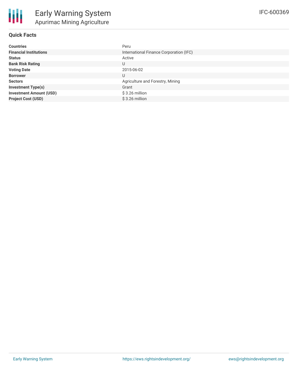## **Quick Facts**

| <b>Countries</b>               | Peru                                    |
|--------------------------------|-----------------------------------------|
| <b>Financial Institutions</b>  | International Finance Corporation (IFC) |
| <b>Status</b>                  | Active                                  |
| <b>Bank Risk Rating</b>        | U                                       |
| <b>Voting Date</b>             | 2015-06-02                              |
| <b>Borrower</b>                | U                                       |
| <b>Sectors</b>                 | Agriculture and Forestry, Mining        |
| <b>Investment Type(s)</b>      | Grant                                   |
| <b>Investment Amount (USD)</b> | $$3.26$ million                         |
| <b>Project Cost (USD)</b>      | \$3.26 million                          |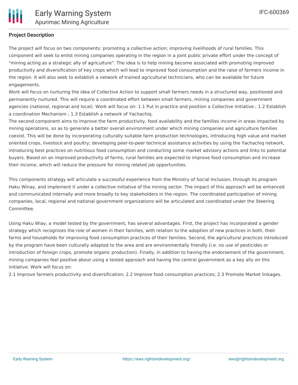## **Project Description**

The project will focus on two components: promoting a collective action; improving livelihoods of rural families. This component will seek to enlist mining companies operating in the region in a joint public private effort under the concept of "mining acting as a strategic ally of agriculture". The idea is to help mining become associated with promoting improved productivity and diversification of key crops which will lead to improved food consumption and the raise of farmers income in the region. It will also seek to establish a network of trained agricultural technicians, who can be available for future engagements.

Work will focus on nurturing the idea of Collective Action to support small farmers needs in a structured way, positioned and permanently nurtured. This will require a coordinated effort between small farmers, mining companies and government agencies (national, regional and local). Work will focus on: 1.1 Put in practice and position a Collective Initiative ; 1.2 Establish a coordination Mechanism ; 1.3 Establish a network of Yachachiq.

The second component aims to improve the farm productivity, food availability and the families income in areas impacted by mining operations, so as to generate a better overall environment under which mining companies and agriculture families coexist. This will be done by incorporating culturally suitable farm production technologies, introducing high value and market oriented crops, livestock and poultry; developing peer-to-peer technical assistance activities by using the Yachachiq network, introducing best practices on nutritious food consumption and conducting some market advisory actions and links to potential buyers. Based on an improved productivity of farms, rural families are expected to improve food consumption and increase their income, which will reduce the pressure for mining related job opportunities.

This components strategy will articulate a successful experience from the Ministry of Social Inclusion, through its program Haku Winay, and implement it under a collective initiative of the mining sector. The impact of this approach will be enhanced and communicated internally and more broadly to key stakeholders in the region. The coordinated participation of mining companies, local, regional and national government organizations will be articulated and coordinated under the Steering Committee.

Using Haku Wiay, a model tested by the government, has several advantages. First, the project has incorporated a gender strategy which recognizes the role of women in their families, with relation to the adoption of new practices in both, their farms and households for improving food consumption practices of their families. Second, the agricultural practices introduced by the program have been culturally adapted to the area and are environmentally friendly (i.e. no use of pesticides or introduction of foreign crops, promote organic production). Finally, in addition to having the endorsement of the government, mining companies feel positive about using a tested approach and having the central government as a key ally on this initiative. Work will focus on:

2.1 Improve farmers productivity and diversification; 2.2 Improve food consumption practices; 2.3 Promote Market linkages.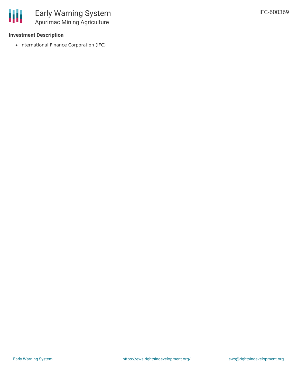

### **Investment Description**

• International Finance Corporation (IFC)